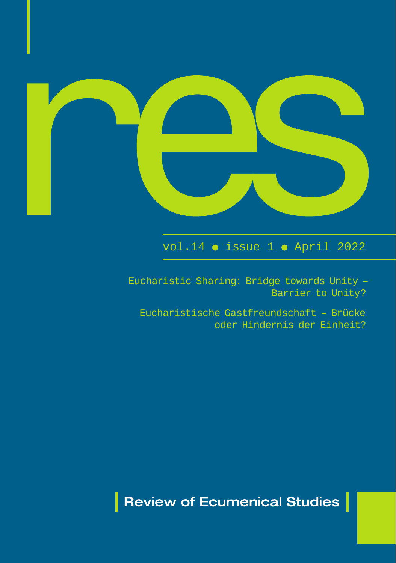

# $vol.14$   $\bullet$  issue 1  $\bullet$  April 2022

Eucharistic Sharing: Bridge towards Unity – Barrier to Unity?

Eucharistische Gastfreundschaft – Brücke oder Hindernis der Einheit?

**Review of Ecumenical Studies**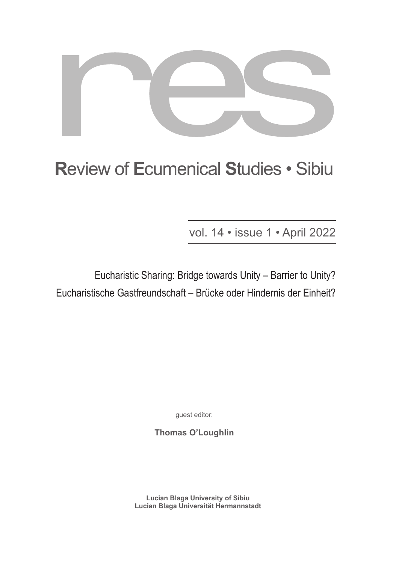

# **R**eview of **E**cumenical **S**tudies • Sibiu

vol. 14 • issue 1 • April 2022

Eucharistic Sharing: Bridge towards Unity – Barrier to Unity? Eucharistische Gastfreundschaft – Brücke oder Hindernis der Einheit?

guest editor:

**Thomas O'Loughlin**

**Lucian Blaga University of Sibiu Lucian Blaga Universität Hermannstadt**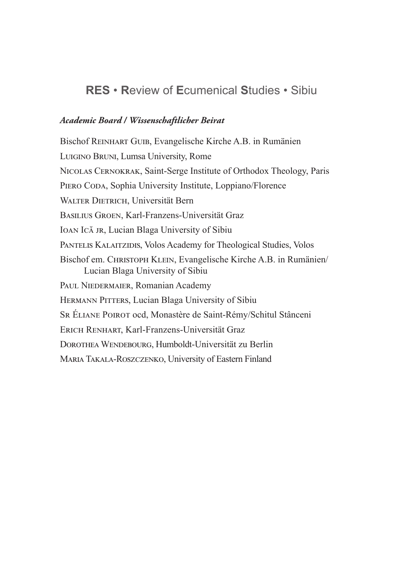# **RES** • **R**eview of **E**cumenical **S**tudies • Sibiu

#### *Academic Board / Wissenschaftlicher Beirat*

Bischof Reinhart Guib, Evangelische Kirche A.B. in Rumänien Luigino Bruni, Lumsa University, Rome Nicolas Cernokrak, Saint-Serge Institute of Orthodox Theology, Paris PIERO CODA, Sophia University Institute, Loppiano/Florence WALTER DIETRICH, Universität Bern Basilius Groen, Karl-Franzens-Universität Graz IOAN ICĂ JR, Lucian Blaga University of Sibiu PANTELIS KALAITZIDIS, Volos Academy for Theological Studies, Volos Bischof em. Christoph Klein, Evangelische Kirche A.B. in Rumänien/ Lucian Blaga University of Sibiu PAUL NIEDERMAIER, Romanian Academy HERMANN PITTERS, Lucian Blaga University of Sibiu Sr Éliane Poirot ocd, Monastère de Saint-Rémy/Schitul Stânceni Erich Renhart, Karl-Franzens-Universität Graz DOROTHEA WENDEBOURG, Humboldt-Universität zu Berlin Maria Takala-Roszczenko, University of Eastern Finland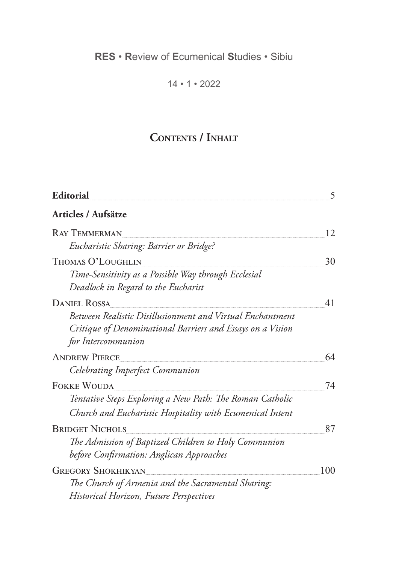# **RES** • **R**eview of **E**cumenical **S**tudies • Sibiu

14 • 1 • 2022

# **Contents / Inhalt**

| Editorial                                                                                                                                     | 5   |
|-----------------------------------------------------------------------------------------------------------------------------------------------|-----|
| Articles / Aufsätze                                                                                                                           |     |
| <b>RAY TEMMERMAN</b>                                                                                                                          | 12  |
| Eucharistic Sharing: Barrier or Bridge?                                                                                                       |     |
| THOMAS O'LOUGHLIN                                                                                                                             | 30  |
| Time-Sensitivity as a Possible Way through Ecclesial<br>Deadlock in Regard to the Eucharist                                                   |     |
| <b>DANIEL ROSSA</b>                                                                                                                           | 41  |
| Between Realistic Disillusionment and Virtual Enchantment<br>Critique of Denominational Barriers and Essays on a Vision<br>for Intercommunion |     |
| <b>ANDREW PIERCE</b>                                                                                                                          | 64  |
| Celebrating Imperfect Communion                                                                                                               |     |
| <b>FOKKE WOUDA</b>                                                                                                                            | 74  |
| Tentative Steps Exploring a New Path: The Roman Catholic                                                                                      |     |
| Church and Eucharistic Hospitality with Ecumenical Intent                                                                                     |     |
| <b>BRIDGET NICHOLS</b>                                                                                                                        | 87  |
| The Admission of Baptized Children to Holy Communion                                                                                          |     |
| before Confirmation: Anglican Approaches                                                                                                      |     |
| <b>GREGORY SHOKHIKYAN</b>                                                                                                                     | 100 |
| The Church of Armenia and the Sacramental Sharing:                                                                                            |     |
| <b>Historical Horizon, Future Perspectives</b>                                                                                                |     |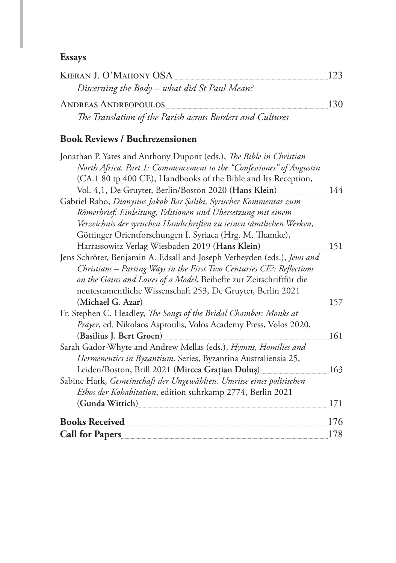## **Essays**

| KIERAN J. O'MAHONY OSA                                    |  |
|-----------------------------------------------------------|--|
| Discerning the Body – what did St Paul Mean?              |  |
| <b>ANDREAS ANDREOPOULOS</b>                               |  |
| The Translation of the Parish across Borders and Cultures |  |

### **Book Reviews / Buchrezensionen**

| Jonathan P. Yates and Anthony Dupont (eds.), The Bible in Christian                                                                                                                                                             |     |
|---------------------------------------------------------------------------------------------------------------------------------------------------------------------------------------------------------------------------------|-----|
| North Africa. Part 1: Commencement to the "Confessiones" of Augustin                                                                                                                                                            |     |
| (CA.1 80 tp 400 CE), Handbooks of the Bible and Its Reception,                                                                                                                                                                  |     |
| Vol. 4,1, De Gruyter, Berlin/Boston 2020 (Hans Klein)                                                                                                                                                                           | 144 |
| Gabriel Rabo, Dionysius Jakob Bar Şalibi, Syrischer Kommentar zum                                                                                                                                                               |     |
| Römerbrief. Einleitung, Editionen und Übersetzung mit einem                                                                                                                                                                     |     |
| Verzeichnis der syrischen Handschriften zu seinen sämtlichen Werken,                                                                                                                                                            |     |
| Göttinger Orientforschungen I. Syriaca (Hrg. M. Thamke),                                                                                                                                                                        |     |
| Harrassowitz Verlag Wiesbaden 2019 (Hans Klein)                                                                                                                                                                                 | 151 |
| Jens Schröter, Benjamin A. Edsall and Joseph Verheyden (eds.), Jews and                                                                                                                                                         |     |
| Christians - Parting Ways in the First Two Centuries CE?: Reflections                                                                                                                                                           |     |
| on the Gains and Losses of a Model, Beihefte zur Zeitschriftfür die                                                                                                                                                             |     |
| neutestamentliche Wissenschaft 253, De Gruyter, Berlin 2021                                                                                                                                                                     |     |
| (Michael G. Azar)                                                                                                                                                                                                               | 157 |
| Fr. Stephen C. Headley, The Songs of the Bridal Chamber: Monks at                                                                                                                                                               |     |
| Prayer, ed. Nikolaos Asproulis, Volos Academy Press, Volos 2020,                                                                                                                                                                |     |
| (Basilius J. Bert Groen)<br>Sand The Contract of the Sandwick State of the Sandwick State of the Sandwick State of the Sandwick State of the Sandwick State of the Sandwick State of the State of the State of the State of the | 161 |
| Sarah Gador-Whyte and Andrew Mellas (eds.), Hymns, Homilies and                                                                                                                                                                 |     |
| Hermeneutics in Byzantium. Series, Byzantina Australiensia 25,                                                                                                                                                                  |     |
| Leiden/Boston, Brill 2021 (Mircea Grațian Duluș)                                                                                                                                                                                | 163 |
| Sabine Hark, Gemeinschaft der Ungewählten. Umrisse eines politischen                                                                                                                                                            |     |
| Ethos der Kohabitation, edition suhrkamp 2774, Berlin 2021                                                                                                                                                                      |     |
| (Gunda Wittich)                                                                                                                                                                                                                 | 171 |
| <b>Books Received</b>                                                                                                                                                                                                           | 176 |
| <b>Call for Papers</b>                                                                                                                                                                                                          | 178 |
|                                                                                                                                                                                                                                 |     |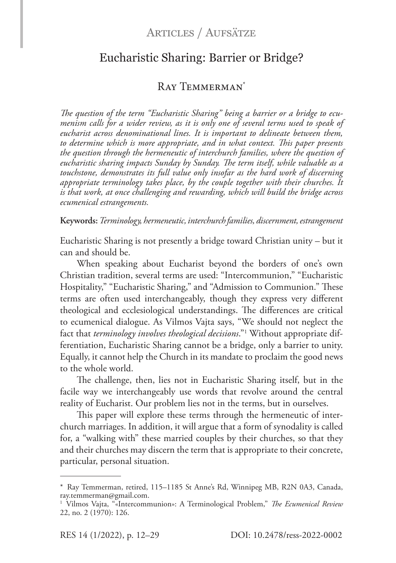### Articles / Aufsätze

### Eucharistic Sharing: Barrier or Bridge?

### Ray Temmerman\*

*The question of the term "Eucharistic Sharing" being a barrier or a bridge to ecumenism calls for a wider review, as it is only one of several terms used to speak of eucharist across denominational lines. It is important to delineate between them, to determine which is more appropriate, and in what context. This paper presents the question through the hermeneutic of interchurch families, where the question of eucharistic sharing impacts Sunday by Sunday. The term itself, while valuable as a touchstone, demonstrates its full value only insofar as the hard work of discerning appropriate terminology takes place, by the couple together with their churches. It is that work, at once challenging and rewarding, which will build the bridge across ecumenical estrangements.*

**Keywords:***Terminology, hermeneutic, interchurch families, discernment, estrangement*

Eucharistic Sharing is not presently a bridge toward Christian unity – but it can and should be.

When speaking about Eucharist beyond the borders of one's own Christian tradition, several terms are used: "Intercommunion," "Eucharistic Hospitality," "Eucharistic Sharing," and "Admission to Communion." These terms are often used interchangeably, though they express very different theological and ecclesiological understandings. The differences are critical to ecumenical dialogue. As Vilmos Vajta says, "We should not neglect the fact that *terminology involves theological decisions*."1 Without appropriate differentiation, Eucharistic Sharing cannot be a bridge, only a barrier to unity. Equally, it cannot help the Church in its mandate to proclaim the good news to the whole world.

The challenge, then, lies not in Eucharistic Sharing itself, but in the facile way we interchangeably use words that revolve around the central reality of Eucharist. Our problem lies not in the terms, but in ourselves.

This paper will explore these terms through the hermeneutic of interchurch marriages. In addition, it will argue that a form of synodality is called for, a "walking with" these married couples by their churches, so that they and their churches may discern the term that is appropriate to their concrete, particular, personal situation.

<sup>\*</sup> Ray Temmerman, retired, 115–1185 St Anne's Rd, Winnipeg MB, R2N 0A3, Canada, ray.temmerman@gmail.com.

<sup>1</sup> Vilmos Vajta, "«Intercommunion»: A Terminological Problem," *The Ecumenical Review* 22, no. 2 (1970): 126.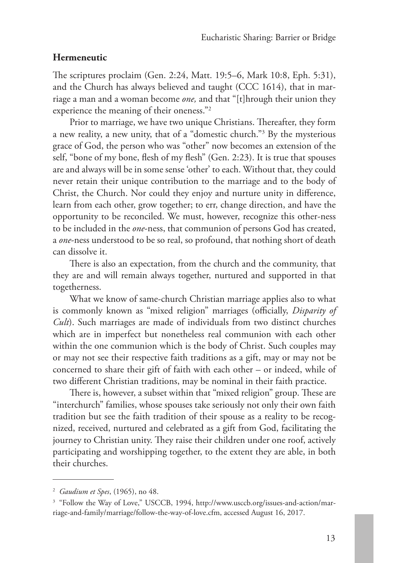#### **Hermeneutic**

The scriptures proclaim (Gen. 2:24, Matt. 19:5–6, Mark 10:8, Eph. 5:31), and the Church has always believed and taught (CCC 1614), that in marriage a man and a woman become *one,* and that "[t]hrough their union they experience the meaning of their oneness."2

Prior to marriage, we have two unique Christians. Thereafter, they form a new reality, a new unity, that of a "domestic church."3 By the mysterious grace of God, the person who was "other" now becomes an extension of the self, "bone of my bone, flesh of my flesh" (Gen. 2:23). It is true that spouses are and always will be in some sense 'other' to each. Without that, they could never retain their unique contribution to the marriage and to the body of Christ, the Church. Nor could they enjoy and nurture unity in difference, learn from each other, grow together; to err, change direction, and have the opportunity to be reconciled. We must, however, recognize this other-ness to be included in the *one*-ness, that communion of persons God has created, a *one*-ness understood to be so real, so profound, that nothing short of death can dissolve it.

There is also an expectation, from the church and the community, that they are and will remain always together, nurtured and supported in that togetherness.

What we know of same-church Christian marriage applies also to what is commonly known as "mixed religion" marriages (officially, *Disparity of Cult*). Such marriages are made of individuals from two distinct churches which are in imperfect but nonetheless real communion with each other within the one communion which is the body of Christ. Such couples may or may not see their respective faith traditions as a gift, may or may not be concerned to share their gift of faith with each other – or indeed, while of two different Christian traditions, may be nominal in their faith practice.

There is, however, a subset within that "mixed religion" group. These are "interchurch" families, whose spouses take seriously not only their own faith tradition but see the faith tradition of their spouse as a reality to be recognized, received, nurtured and celebrated as a gift from God, facilitating the journey to Christian unity. They raise their children under one roof, actively participating and worshipping together, to the extent they are able, in both their churches.

<sup>2</sup> *Gaudium et Spes*, (1965), no 48.

<sup>&</sup>lt;sup>3</sup> "Follow the Way of Love," USCCB, 1994, http://www.usccb.org/issues-and-action/marriage-and-family/marriage/follow-the-way-of-love.cfm, accessed August 16, 2017.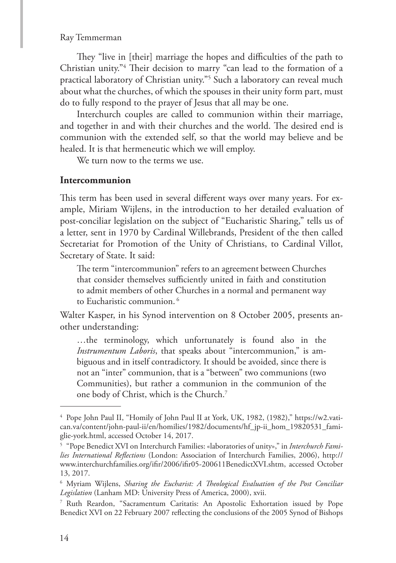They "live in [their] marriage the hopes and difficulties of the path to Christian unity."4 Their decision to marry "can lead to the formation of a practical laboratory of Christian unity."5 Such a laboratory can reveal much about what the churches, of which the spouses in their unity form part, must do to fully respond to the prayer of Jesus that all may be one.

Interchurch couples are called to communion within their marriage, and together in and with their churches and the world. The desired end is communion with the extended self, so that the world may believe and be healed. It is that hermeneutic which we will employ.

We turn now to the terms we use.

#### **Intercommunion**

This term has been used in several different ways over many years. For example, Miriam Wijlens, in the introduction to her detailed evaluation of post-conciliar legislation on the subject of "Eucharistic Sharing," tells us of a letter, sent in 1970 by Cardinal Willebrands, President of the then called Secretariat for Promotion of the Unity of Christians, to Cardinal Villot, Secretary of State. It said:

The term "intercommunion" refers to an agreement between Churches that consider themselves sufficiently united in faith and constitution to admit members of other Churches in a normal and permanent way to Eucharistic communion. <sup>6</sup>

Walter Kasper, in his Synod intervention on 8 October 2005, presents another understanding:

…the terminology, which unfortunately is found also in the *Instrumentum Laboris*, that speaks about "intercommunion," is ambiguous and in itself contradictory. It should be avoided, since there is not an "inter" communion, that is a "between" two communions (two Communities), but rather a communion in the communion of the one body of Christ, which is the Church.7

<sup>4</sup> Pope John Paul II, "Homily of John Paul II at York, UK, 1982, (1982)," https://w2.vatican.va/content/john-paul-ii/en/homilies/1982/documents/hf\_jp-ii\_hom\_19820531\_famiglie-york.html, accessed October 14, 2017.

<sup>5</sup> "Pope Benedict XVI on Interchurch Families: «laboratories of unity»," in *Interchurch Families International Reflections* (London: Association of Interchurch Families, 2006), http:// www.interchurchfamilies.org/ifir/2006/ifir05-200611BenedictXVI.shtm, accessed October 13, 2017.

<sup>6</sup> Myriam Wijlens, *Sharing the Eucharist: A Theological Evaluation of the Post Conciliar Legislation* (Lanham MD: University Press of America, 2000), xvii.

<sup>7</sup> Ruth Reardon, "Sacramentum Caritatis: An Apostolic Exhortation issued by Pope Benedict XVI on 22 February 2007 reflecting the conclusions of the 2005 Synod of Bishops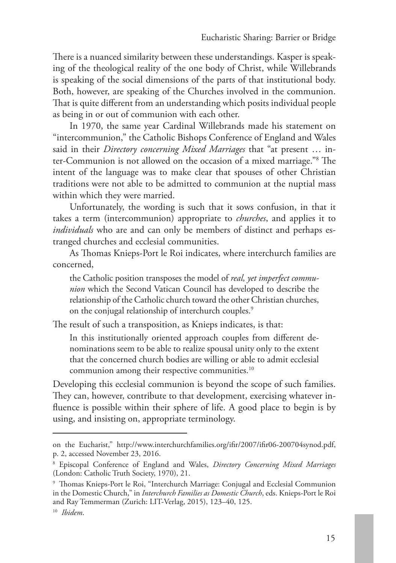There is a nuanced similarity between these understandings. Kasper is speaking of the theological reality of the one body of Christ, while Willebrands is speaking of the social dimensions of the parts of that institutional body. Both, however, are speaking of the Churches involved in the communion. That is quite different from an understanding which posits individual people as being in or out of communion with each other.

In 1970, the same year Cardinal Willebrands made his statement on "intercommunion," the Catholic Bishops Conference of England and Wales said in their *Directory concerning Mixed Marriages* that "at present … inter-Communion is not allowed on the occasion of a mixed marriage."8 The intent of the language was to make clear that spouses of other Christian traditions were not able to be admitted to communion at the nuptial mass within which they were married.

Unfortunately, the wording is such that it sows confusion, in that it takes a term (intercommunion) appropriate to *churches*, and applies it to *individuals* who are and can only be members of distinct and perhaps estranged churches and ecclesial communities.

As Thomas Knieps-Port le Roi indicates, where interchurch families are concerned,

the Catholic position transposes the model of *real, yet imperfect communion* which the Second Vatican Council has developed to describe the relationship of the Catholic church toward the other Christian churches, on the conjugal relationship of interchurch couples.<sup>9</sup>

The result of such a transposition, as Knieps indicates, is that:

In this institutionally oriented approach couples from different denominations seem to be able to realize spousal unity only to the extent that the concerned church bodies are willing or able to admit ecclesial communion among their respective communities.10

Developing this ecclesial communion is beyond the scope of such families. They can, however, contribute to that development, exercising whatever influence is possible within their sphere of life. A good place to begin is by using, and insisting on, appropriate terminology.

on the Eucharist," http://www.interchurchfamilies.org/ifir/2007/ifir06-200704synod.pdf, p. 2, accessed November 23, 2016.

<sup>8</sup> Episcopal Conference of England and Wales, *Directory Concerning Mixed Marriages* (London: Catholic Truth Society, 1970), 21.

<sup>9</sup> Thomas Knieps-Port le Roi, "Interchurch Marriage: Conjugal and Ecclesial Communion in the Domestic Church," in *Interchurch Families as Domestic Church*, eds. Knieps-Port le Roi and Ray Temmerman (Zurich: LIT-Verlag, 2015), 123–40, 125. <sup>10</sup> *Ibidem*.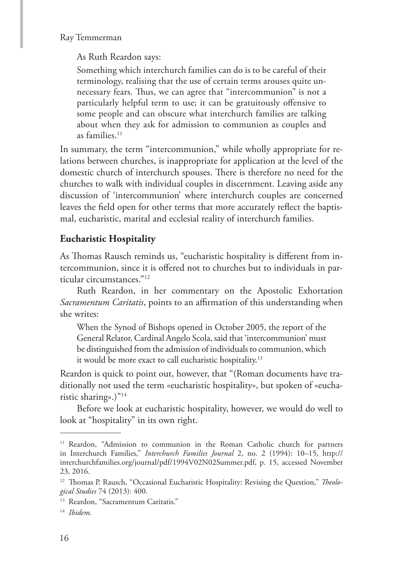As Ruth Reardon says:

Something which interchurch families can do is to be careful of their terminology, realising that the use of certain terms arouses quite unnecessary fears. Thus, we can agree that "intercommunion" is not a particularly helpful term to use; it can be gratuitously offensive to some people and can obscure what interchurch families are talking about when they ask for admission to communion as couples and as families.11

In summary, the term "intercommunion," while wholly appropriate for relations between churches, is inappropriate for application at the level of the domestic church of interchurch spouses. There is therefore no need for the churches to walk with individual couples in discernment. Leaving aside any discussion of 'intercommunion' where interchurch couples are concerned leaves the field open for other terms that more accurately reflect the baptismal, eucharistic, marital and ecclesial reality of interchurch families.

#### **Eucharistic Hospitality**

As Thomas Rausch reminds us, "eucharistic hospitality is different from intercommunion, since it is offered not to churches but to individuals in particular circumstances."12

Ruth Reardon, in her commentary on the Apostolic Exhortation *Sacramentum Caritatis*, points to an affirmation of this understanding when she writes:

When the Synod of Bishops opened in October 2005, the report of the General Relator, Cardinal Angelo Scola, said that 'intercommunion' must be distinguished from the admission of individuals to communion, which it would be more exact to call eucharistic hospitality.13

Reardon is quick to point out, however, that "(Roman documents have traditionally not used the term «eucharistic hospitality», but spoken of «eucharistic sharing».)"14

Before we look at eucharistic hospitality, however, we would do well to look at "hospitality" in its own right.

<sup>&</sup>lt;sup>11</sup> Reardon, "Admission to communion in the Roman Catholic church for partners in Interchurch Families," *Interchurch Families Journal* 2, no. 2 (1994): 10–15, http:// interchurchfamilies.org/journal/pdf/1994V02N02Summer.pdf, p. 15, accessed November 23, 2016.

<sup>12</sup> Thomas P. Rausch, "Occasional Eucharistic Hospitality: Revising the Question," *Theological Studies* 74 (2013): 400.

<sup>&</sup>lt;sup>13</sup> Reardon, "Sacramentum Caritatis."

<sup>14</sup> *Ibidem*.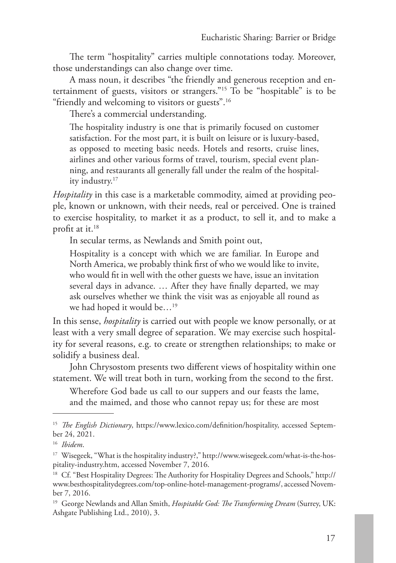The term "hospitality" carries multiple connotations today. Moreover, those understandings can also change over time.

A mass noun, it describes "the friendly and generous reception and entertainment of guests, visitors or strangers."15 To be "hospitable" is to be "friendly and welcoming to visitors or guests".16

There's a commercial understanding.

The hospitality industry is one that is primarily focused on customer satisfaction. For the most part, it is built on leisure or is luxury-based, as opposed to meeting basic needs. Hotels and resorts, cruise lines, airlines and other various forms of travel, tourism, special event planning, and restaurants all generally fall under the realm of the hospitality industry.17

*Hospitality* in this case is a marketable commodity, aimed at providing people, known or unknown, with their needs, real or perceived. One is trained to exercise hospitality, to market it as a product, to sell it, and to make a profit at it.18

In secular terms, as Newlands and Smith point out,

Hospitality is a concept with which we are familiar. In Europe and North America, we probably think first of who we would like to invite, who would fit in well with the other guests we have, issue an invitation several days in advance. … After they have finally departed, we may ask ourselves whether we think the visit was as enjoyable all round as we had hoped it would be…19

In this sense, *hospitality* is carried out with people we know personally, or at least with a very small degree of separation. We may exercise such hospitality for several reasons, e.g. to create or strengthen relationships; to make or solidify a business deal.

John Chrysostom presents two different views of hospitality within one statement. We will treat both in turn, working from the second to the first.

Wherefore God bade us call to our suppers and our feasts the lame, and the maimed, and those who cannot repay us; for these are most

<sup>15</sup> *The English Dictionary*, https://www.lexico.com/definition/hospitality, accessed September 24, 2021.

<sup>16</sup> *Ibidem*.

<sup>&</sup>lt;sup>17</sup> Wisegeek, "What is the hospitality industry?," http://www.wisegeek.com/what-is-the-hospitality-industry.htm, accessed November 7, 2016.

<sup>&</sup>lt;sup>18</sup> Cf. "Best Hospitality Degrees: The Authority for Hospitality Degrees and Schools," http:// www.besthospitalitydegrees.com/top-online-hotel-management-programs/, accessed November 7, 2016.

<sup>19</sup> George Newlands and Allan Smith, *Hospitable God: The Transforming Dream* (Surrey, UK: Ashgate Publishing Ltd., 2010), 3.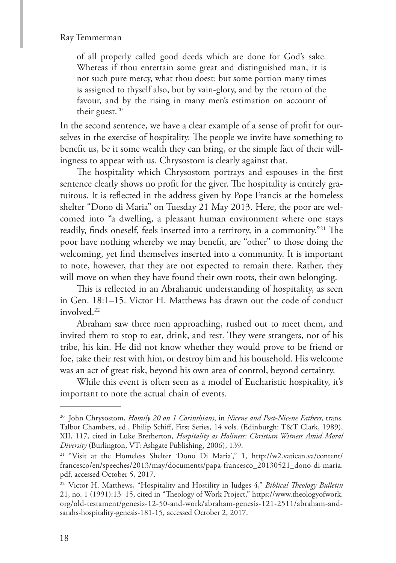of all properly called good deeds which are done for God's sake. Whereas if thou entertain some great and distinguished man, it is not such pure mercy, what thou doest: but some portion many times is assigned to thyself also, but by vain-glory, and by the return of the favour, and by the rising in many men's estimation on account of their guest.<sup>20</sup>

In the second sentence, we have a clear example of a sense of profit for ourselves in the exercise of hospitality. The people we invite have something to benefit us, be it some wealth they can bring, or the simple fact of their willingness to appear with us. Chrysostom is clearly against that.

The hospitality which Chrysostom portrays and espouses in the first sentence clearly shows no profit for the giver. The hospitality is entirely gratuitous. It is reflected in the address given by Pope Francis at the homeless shelter "Dono di Maria" on Tuesday 21 May 2013. Here, the poor are welcomed into "a dwelling, a pleasant human environment where one stays readily, finds oneself, feels inserted into a territory, in a community."21 The poor have nothing whereby we may benefit, are "other" to those doing the welcoming, yet find themselves inserted into a community. It is important to note, however, that they are not expected to remain there. Rather, they will move on when they have found their own roots, their own belonging.

This is reflected in an Abrahamic understanding of hospitality, as seen in Gen. 18:1–15. Victor H. Matthews has drawn out the code of conduct involved.22

Abraham saw three men approaching, rushed out to meet them, and invited them to stop to eat, drink, and rest. They were strangers, not of his tribe, his kin. He did not know whether they would prove to be friend or foe, take their rest with him, or destroy him and his household. His welcome was an act of great risk, beyond his own area of control, beyond certainty.

While this event is often seen as a model of Eucharistic hospitality, it's important to note the actual chain of events.

<sup>20</sup> John Chrysostom, *Homily 20 on 1 Corinthians*, in *Nicene and Post-Nicene Fathers*, trans. Talbot Chambers, ed., Philip Schiff, First Series, 14 vols. (Edinburgh: T&T Clark, 1989), XII, 117, cited in Luke Bretherton, *Hospitality as Holiness: Christian Witness Amid Moral Diversity* (Burlington, VT: Ashgate Publishing, 2006), 139.

<sup>&</sup>lt;sup>21</sup> "Visit at the Homeless Shelter 'Dono Di Maria'," 1, http://w2.vatican.va/content/ francesco/en/speeches/2013/may/documents/papa-francesco\_20130521\_dono-di-maria. pdf, accessed October 5, 2017.

<sup>22</sup> Victor H. Matthews, "Hospitality and Hostility in Judges 4," *Biblical Theology Bulletin*  21, no. 1 (1991):13–15, cited in "Theology of Work Project," https://www.theologyofwork. org/old-testament/genesis-12-50-and-work/abraham-genesis-121-2511/abraham-andsarahs-hospitality-genesis-181-15, accessed October 2, 2017.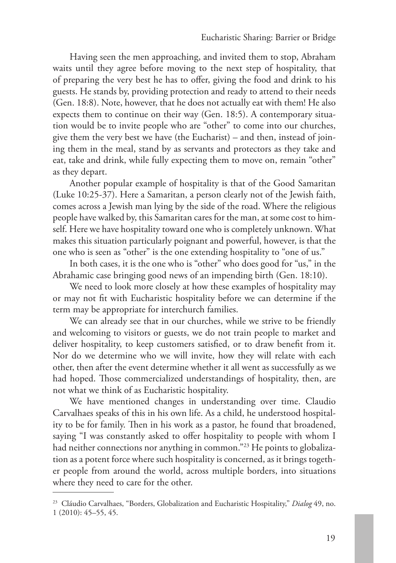Having seen the men approaching, and invited them to stop, Abraham waits until they agree before moving to the next step of hospitality, that of preparing the very best he has to offer, giving the food and drink to his guests. He stands by, providing protection and ready to attend to their needs (Gen. 18:8). Note, however, that he does not actually eat with them! He also expects them to continue on their way (Gen. 18:5). A contemporary situation would be to invite people who are "other" to come into our churches, give them the very best we have (the Eucharist) – and then, instead of joining them in the meal, stand by as servants and protectors as they take and eat, take and drink, while fully expecting them to move on, remain "other" as they depart.

Another popular example of hospitality is that of the Good Samaritan (Luke 10:25-37). Here a Samaritan, a person clearly not of the Jewish faith, comes across a Jewish man lying by the side of the road. Where the religious people have walked by, this Samaritan cares for the man, at some cost to himself. Here we have hospitality toward one who is completely unknown. What makes this situation particularly poignant and powerful, however, is that the one who is seen as "other" is the one extending hospitality to "one of us."

In both cases, it is the one who is "other" who does good for "us," in the Abrahamic case bringing good news of an impending birth (Gen. 18:10).

We need to look more closely at how these examples of hospitality may or may not fit with Eucharistic hospitality before we can determine if the term may be appropriate for interchurch families.

We can already see that in our churches, while we strive to be friendly and welcoming to visitors or guests, we do not train people to market and deliver hospitality, to keep customers satisfied, or to draw benefit from it. Nor do we determine who we will invite, how they will relate with each other, then after the event determine whether it all went as successfully as we had hoped. Those commercialized understandings of hospitality, then, are not what we think of as Eucharistic hospitality.

We have mentioned changes in understanding over time. Claudio Carvalhaes speaks of this in his own life. As a child, he understood hospitality to be for family. Then in his work as a pastor, he found that broadened, saying "I was constantly asked to offer hospitality to people with whom I had neither connections nor anything in common."<sup>23</sup> He points to globalization as a potent force where such hospitality is concerned, as it brings together people from around the world, across multiple borders, into situations where they need to care for the other.

<sup>23</sup> Cláudio Carvalhaes, "Borders, Globalization and Eucharistic Hospitality," *Dialog* 49, no. 1 (2010): 45–55, 45.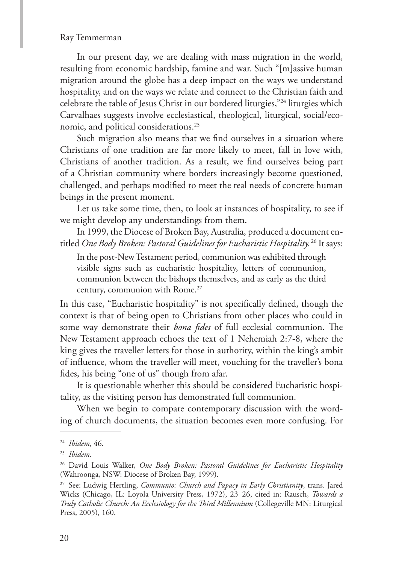In our present day, we are dealing with mass migration in the world, resulting from economic hardship, famine and war. Such "[m]assive human migration around the globe has a deep impact on the ways we understand hospitality, and on the ways we relate and connect to the Christian faith and celebrate the table of Jesus Christ in our bordered liturgies,"24 liturgies which Carvalhaes suggests involve ecclesiastical, theological, liturgical, social/economic, and political considerations.25

Such migration also means that we find ourselves in a situation where Christians of one tradition are far more likely to meet, fall in love with, Christians of another tradition. As a result, we find ourselves being part of a Christian community where borders increasingly become questioned, challenged, and perhaps modified to meet the real needs of concrete human beings in the present moment.

Let us take some time, then, to look at instances of hospitality, to see if we might develop any understandings from them.

In 1999, the Diocese of Broken Bay, Australia, produced a document entitled *One Body Broken: Pastoral Guidelines for Eucharistic Hospitality.* 26 It says:

In the post-New Testament period, communion was exhibited through visible signs such as eucharistic hospitality, letters of communion, communion between the bishops themselves, and as early as the third century, communion with Rome.<sup>27</sup>

In this case, "Eucharistic hospitality" is not specifically defined, though the context is that of being open to Christians from other places who could in some way demonstrate their *bona fides* of full ecclesial communion. The New Testament approach echoes the text of 1 Nehemiah 2:7-8, where the king gives the traveller letters for those in authority, within the king's ambit of influence, whom the traveller will meet, vouching for the traveller's bona fides, his being "one of us" though from afar.

It is questionable whether this should be considered Eucharistic hospitality, as the visiting person has demonstrated full communion.

When we begin to compare contemporary discussion with the wording of church documents, the situation becomes even more confusing. For

<sup>24</sup> *Ibidem*, 46.

<sup>25</sup> *Ibidem.*

<sup>26</sup> David Louis Walker, *One Body Broken: Pastoral Guidelines for Eucharistic Hospitality* (Wahroonga, NSW: Diocese of Broken Bay, 1999).

<sup>27</sup> See: Ludwig Hertling, *Communio: Church and Papacy in Early Christianity*, trans. Jared Wicks (Chicago, IL: Loyola University Press, 1972), 23–26, cited in: Rausch, *Towards a Truly Catholic Church: An Ecclesiology for the Third Millennium* (Collegeville MN: Liturgical Press, 2005), 160.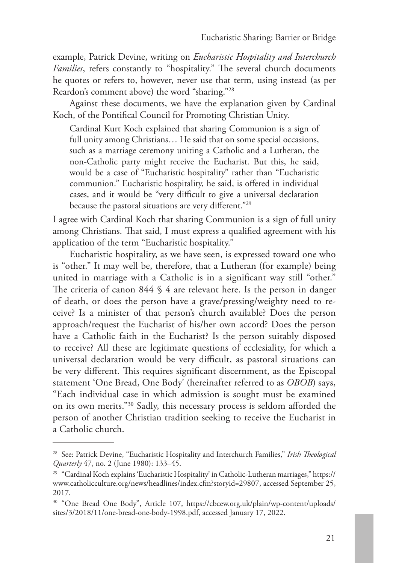example, Patrick Devine, writing on *Eucharistic Hospitality and Interchurch Families*, refers constantly to "hospitality." The several church documents he quotes or refers to, however, never use that term, using instead (as per Reardon's comment above) the word "sharing."28

Against these documents, we have the explanation given by Cardinal Koch, of the Pontifical Council for Promoting Christian Unity.

Cardinal Kurt Koch explained that sharing Communion is a sign of full unity among Christians... He said that on some special occasions, such as a marriage ceremony uniting a Catholic and a Lutheran, the non-Catholic party might receive the Eucharist. But this, he said, would be a case of "Eucharistic hospitality" rather than "Eucharistic communion." Eucharistic hospitality, he said, is offered in individual cases, and it would be "very difficult to give a universal declaration because the pastoral situations are very different."29

I agree with Cardinal Koch that sharing Communion is a sign of full unity among Christians. That said, I must express a qualified agreement with his application of the term "Eucharistic hospitality."

Eucharistic hospitality, as we have seen, is expressed toward one who is "other." It may well be, therefore, that a Lutheran (for example) being united in marriage with a Catholic is in a significant way still "other." The criteria of canon 844 § 4 are relevant here. Is the person in danger of death, or does the person have a grave/pressing/weighty need to receive? Is a minister of that person's church available? Does the person approach/request the Eucharist of his/her own accord? Does the person have a Catholic faith in the Eucharist? Is the person suitably disposed to receive? All these are legitimate questions of ecclesiality, for which a universal declaration would be very difficult, as pastoral situations can be very different. This requires significant discernment, as the Episcopal statement 'One Bread, One Body' (hereinafter referred to as *OBOB*) says, "Each individual case in which admission is sought must be examined on its own merits."30 Sadly, this necessary process is seldom afforded the person of another Christian tradition seeking to receive the Eucharist in a Catholic church.

<sup>28</sup> See: Patrick Devine, "Eucharistic Hospitality and Interchurch Families," *Irish Theological Quarterly* 47, no. 2 (June 1980): 133–45.

<sup>29</sup> "Cardinal Koch explains 'Eucharistic Hospitality' in Catholic-Lutheran marriages," https:// www.catholicculture.org/news/headlines/index.cfm?storyid=29807, accessed September 25, 2017.

<sup>&</sup>lt;sup>30</sup> "One Bread One Body", Article 107, https://cbcew.org.uk/plain/wp-content/uploads/ sites/3/2018/11/one-bread-one-body-1998.pdf, accessed January 17, 2022.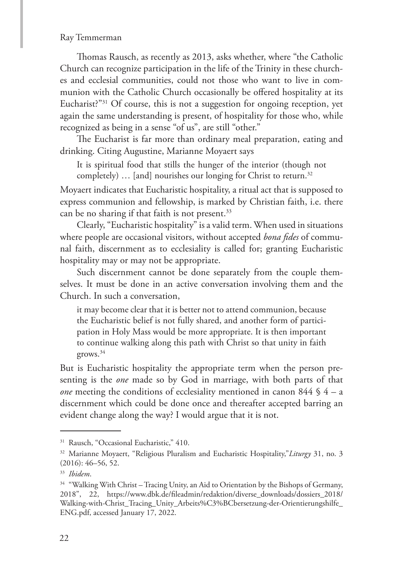Thomas Rausch, as recently as 2013, asks whether, where "the Catholic Church can recognize participation in the life of the Trinity in these churches and ecclesial communities, could not those who want to live in communion with the Catholic Church occasionally be offered hospitality at its Eucharist?"31 Of course, this is not a suggestion for ongoing reception, yet again the same understanding is present, of hospitality for those who, while recognized as being in a sense "of us", are still "other."

The Eucharist is far more than ordinary meal preparation, eating and drinking. Citing Augustine, Marianne Moyaert says

It is spiritual food that stills the hunger of the interior (though not completely)  $\ldots$  [and] nourishes our longing for Christ to return.<sup>32</sup>

Moyaert indicates that Eucharistic hospitality, a ritual act that is supposed to express communion and fellowship, is marked by Christian faith, i.e. there can be no sharing if that faith is not present.<sup>33</sup>

Clearly, "Eucharistic hospitality" is a valid term. When used in situations where people are occasional visitors, without accepted *bona fides* of communal faith, discernment as to ecclesiality is called for; granting Eucharistic hospitality may or may not be appropriate.

Such discernment cannot be done separately from the couple themselves. It must be done in an active conversation involving them and the Church. In such a conversation,

it may become clear that it is better not to attend communion, because the Eucharistic belief is not fully shared, and another form of participation in Holy Mass would be more appropriate. It is then important to continue walking along this path with Christ so that unity in faith grows.34

But is Eucharistic hospitality the appropriate term when the person presenting is the *one* made so by God in marriage, with both parts of that *one* meeting the conditions of ecclesiality mentioned in canon 844 § 4 – a discernment which could be done once and thereafter accepted barring an evident change along the way? I would argue that it is not.

<sup>&</sup>lt;sup>31</sup> Rausch, "Occasional Eucharistic," 410.

<sup>32</sup> Marianne Moyaert, "Religious Pluralism and Eucharistic Hospitality,"*Liturgy* 31, no. 3 (2016): 46–56, 52.

<sup>33</sup> *Ibidem*.

<sup>&</sup>lt;sup>34</sup> "Walking With Christ – Tracing Unity, an Aid to Orientation by the Bishops of Germany, 2018", 22, https://www.dbk.de/fileadmin/redaktion/diverse\_downloads/dossiers\_2018/ Walking-with-Christ\_Tracing\_Unity\_Arbeits%C3%BCbersetzung-der-Orientierungshilfe\_ ENG.pdf, accessed January 17, 2022.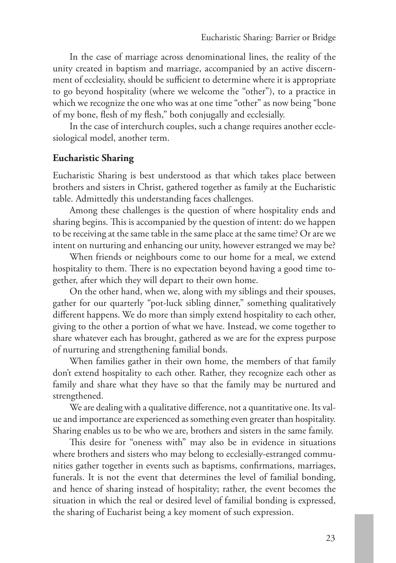In the case of marriage across denominational lines, the reality of the unity created in baptism and marriage, accompanied by an active discernment of ecclesiality, should be sufficient to determine where it is appropriate to go beyond hospitality (where we welcome the "other"), to a practice in which we recognize the one who was at one time "other" as now being "bone of my bone, flesh of my flesh," both conjugally and ecclesially.

In the case of interchurch couples, such a change requires another ecclesiological model, another term.

#### **Eucharistic Sharing**

Eucharistic Sharing is best understood as that which takes place between brothers and sisters in Christ, gathered together as family at the Eucharistic table. Admittedly this understanding faces challenges.

Among these challenges is the question of where hospitality ends and sharing begins. This is accompanied by the question of intent: do we happen to be receiving at the same table in the same place at the same time? Or are we intent on nurturing and enhancing our unity, however estranged we may be?

When friends or neighbours come to our home for a meal, we extend hospitality to them. There is no expectation beyond having a good time together, after which they will depart to their own home.

On the other hand, when we, along with my siblings and their spouses, gather for our quarterly "pot-luck sibling dinner," something qualitatively different happens. We do more than simply extend hospitality to each other, giving to the other a portion of what we have. Instead, we come together to share whatever each has brought, gathered as we are for the express purpose of nurturing and strengthening familial bonds.

When families gather in their own home, the members of that family don't extend hospitality to each other. Rather, they recognize each other as family and share what they have so that the family may be nurtured and strengthened.

We are dealing with a qualitative difference, not a quantitative one. Its value and importance are experienced as something even greater than hospitality. Sharing enables us to be who we are, brothers and sisters in the same family.

This desire for "oneness with" may also be in evidence in situations where brothers and sisters who may belong to ecclesially-estranged communities gather together in events such as baptisms, confirmations, marriages, funerals. It is not the event that determines the level of familial bonding, and hence of sharing instead of hospitality; rather, the event becomes the situation in which the real or desired level of familial bonding is expressed, the sharing of Eucharist being a key moment of such expression.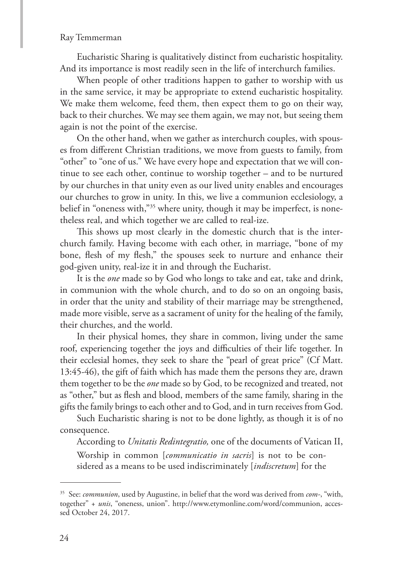Eucharistic Sharing is qualitatively distinct from eucharistic hospitality. And its importance is most readily seen in the life of interchurch families.

When people of other traditions happen to gather to worship with us in the same service, it may be appropriate to extend eucharistic hospitality. We make them welcome, feed them, then expect them to go on their way, back to their churches. We may see them again, we may not, but seeing them again is not the point of the exercise.

On the other hand, when we gather as interchurch couples, with spouses from different Christian traditions, we move from guests to family, from "other" to "one of us." We have every hope and expectation that we will continue to see each other, continue to worship together – and to be nurtured by our churches in that unity even as our lived unity enables and encourages our churches to grow in unity. In this, we live a communion ecclesiology, a belief in "oneness with,"<sup>35</sup> where unity, though it may be imperfect, is nonetheless real, and which together we are called to real-ize.

This shows up most clearly in the domestic church that is the interchurch family. Having become with each other, in marriage, "bone of my bone, flesh of my flesh," the spouses seek to nurture and enhance their god-given unity, real-ize it in and through the Eucharist.

It is the *one* made so by God who longs to take and eat, take and drink, in communion with the whole church, and to do so on an ongoing basis, in order that the unity and stability of their marriage may be strengthened, made more visible, serve as a sacrament of unity for the healing of the family, their churches, and the world.

In their physical homes, they share in common, living under the same roof, experiencing together the joys and difficulties of their life together. In their ecclesial homes, they seek to share the "pearl of great price" (Cf Matt. 13:45-46), the gift of faith which has made them the persons they are, drawn them together to be the *one* made so by God, to be recognized and treated, not as "other," but as flesh and blood, members of the same family, sharing in the gifts the family brings to each other and to God, and in turn receives from God.

Such Eucharistic sharing is not to be done lightly, as though it is of no consequence.

According to *Unitatis Redintegratio,* one of the documents of Vatican II,

Worship in common [*communicatio in sacris*] is not to be considered as a means to be used indiscriminately [*indiscretum*] for the

<sup>35</sup> See: *communion*, used by Augustine, in belief that the word was derived from *com-*, "with, together" + *unis*, "oneness, union". http://www.etymonline.com/word/communion, accessed October 24, 2017.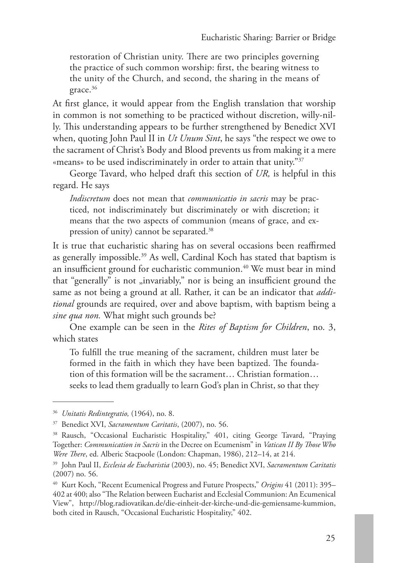restoration of Christian unity. There are two principles governing the practice of such common worship: first, the bearing witness to the unity of the Church, and second, the sharing in the means of grace.<sup>36</sup>

At first glance, it would appear from the English translation that worship in common is not something to be practiced without discretion, willy-nilly. This understanding appears to be further strengthened by Benedict XVI when, quoting John Paul II in *Ut Unum Sint*, he says "the respect we owe to the sacrament of Christ's Body and Blood prevents us from making it a mere «means» to be used indiscriminately in order to attain that unity."37

George Tavard, who helped draft this section of *UR,* is helpful in this regard. He says

*Indiscretum* does not mean that *communicatio in sacris* may be practiced, not indiscriminately but discriminately or with discretion; it means that the two aspects of communion (means of grace, and expression of unity) cannot be separated.38

It is true that eucharistic sharing has on several occasions been reaffirmed as generally impossible.<sup>39</sup> As well, Cardinal Koch has stated that baptism is an insufficient ground for eucharistic communion.<sup>40</sup> We must bear in mind that "generally" is not "invariably," nor is being an insufficient ground the same as not being a ground at all. Rather, it can be an indicator that *additional* grounds are required, over and above baptism, with baptism being a *sine qua non.* What might such grounds be?

One example can be seen in the *Rites of Baptism for Children*, no. 3, which states

To fulfill the true meaning of the sacrament, children must later be formed in the faith in which they have been baptized. The foundation of this formation will be the sacrament… Christian formation… seeks to lead them gradually to learn God's plan in Christ, so that they

<sup>36</sup> *Unitatis Redintegratio,* (1964), no. 8.

<sup>37</sup> Benedict XVI, *Sacramentum Caritatis*, (2007), no. 56.

<sup>38</sup> Rausch, "Occasional Eucharistic Hospitality," 401, citing George Tavard, "Praying Together: *Communication in Sacris* in the Decree on Ecumenism" in *Vatican II By Those Who Were There*, ed. Alberic Stacpoole (London: Chapman, 1986), 212–14, at 214.

<sup>39</sup> John Paul II, *Ecclesia de Eucharistia* (2003), no. 45; Benedict XVI, *Sacramentum Caritatis* (2007) no. 56.

<sup>40</sup> Kurt Koch, "Recent Ecumenical Progress and Future Prospects," *Origins* 41 (2011): 395– 402 at 400; also "The Relation between Eucharist and Ecclesial Communion: An Ecumenical View", http://blog.radiovatikan.de/die-einheit-der-kirche-und-die-gemiensame-kummion, both cited in Rausch, "Occasional Eucharistic Hospitality," 402.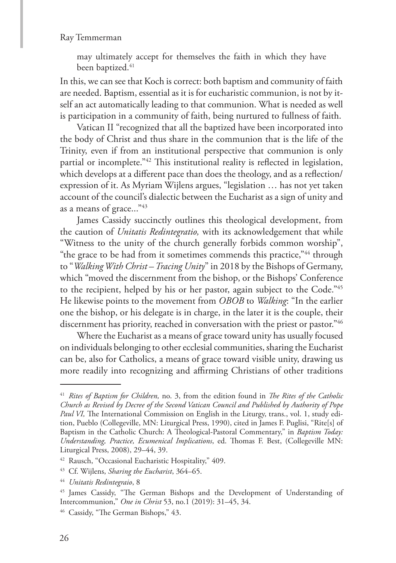may ultimately accept for themselves the faith in which they have been baptized.<sup>41</sup>

In this, we can see that Koch is correct: both baptism and community of faith are needed. Baptism, essential as it is for eucharistic communion, is not by itself an act automatically leading to that communion. What is needed as well is participation in a community of faith, being nurtured to fullness of faith.

Vatican II "recognized that all the baptized have been incorporated into the body of Christ and thus share in the communion that is the life of the Trinity, even if from an institutional perspective that communion is only partial or incomplete."42 This institutional reality is reflected in legislation, which develops at a different pace than does the theology, and as a reflection/ expression of it. As Myriam Wijlens argues, "legislation … has not yet taken account of the council's dialectic between the Eucharist as a sign of unity and as a means of grace..."<sup>43</sup>

James Cassidy succinctly outlines this theological development, from the caution of *Unitatis Redintegratio,* with its acknowledgement that while "Witness to the unity of the church generally forbids common worship", "the grace to be had from it sometimes commends this practice,"44 through to "*Walking With Christ – Tracing Unity*" in 2018 by the Bishops of Germany, which "moved the discernment from the bishop, or the Bishops' Conference to the recipient, helped by his or her pastor, again subject to the Code."45 He likewise points to the movement from *OBOB* to *Walking*: "In the earlier one the bishop, or his delegate is in charge, in the later it is the couple, their discernment has priority, reached in conversation with the priest or pastor."<sup>46</sup>

Where the Eucharist as a means of grace toward unity has usually focused on individuals belonging to other ecclesial communities, sharing the Eucharist can be, also for Catholics, a means of grace toward visible unity, drawing us more readily into recognizing and affirming Christians of other traditions

<sup>41</sup> *Rites of Baptism for Children,* no. 3, from the edition found in *The Rites of the Catholic Church as Revised by Decree of the Second Vatican Council and Published by Authority of Pope Paul VI,* The International Commission on English in the Liturgy, trans., vol. 1, study edition, Pueblo (Collegeville, MN: Liturgical Press, 1990), cited in James F. Puglisi, "Rite[s] of Baptism in the Catholic Church: A Theological-Pastoral Commentary," in *Baptism Today: Understanding, Practice, Ecumenical Implications*, ed. Thomas F. Best, (Collegeville MN: Liturgical Press, 2008), 29–44, 39.

<sup>42</sup> Rausch, "Occasional Eucharistic Hospitality," 409.

<sup>43</sup> Cf. Wijlens, *Sharing the Eucharist*, 364–65.

<sup>44</sup> *Unitatis Redintegraio*, 8

<sup>&</sup>lt;sup>45</sup> James Cassidy, "The German Bishops and the Development of Understanding of Intercommunion," *One in Christ* 53, no.1 (2019): 31–45, 34.

<sup>46</sup> Cassidy, "The German Bishops," 43.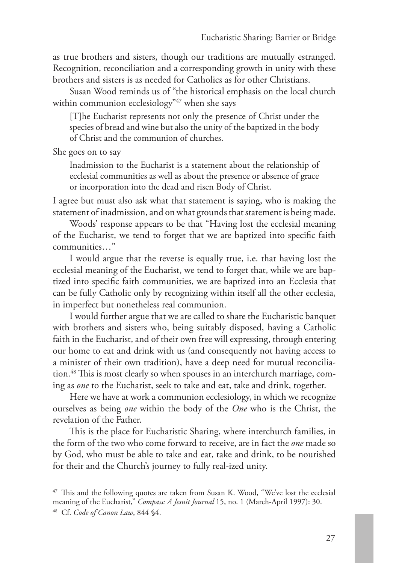as true brothers and sisters, though our traditions are mutually estranged. Recognition, reconciliation and a corresponding growth in unity with these brothers and sisters is as needed for Catholics as for other Christians.

Susan Wood reminds us of "the historical emphasis on the local church within communion ecclesiology"<sup>47</sup> when she says

[T]he Eucharist represents not only the presence of Christ under the species of bread and wine but also the unity of the baptized in the body of Christ and the communion of churches.

She goes on to say

Inadmission to the Eucharist is a statement about the relationship of ecclesial communities as well as about the presence or absence of grace or incorporation into the dead and risen Body of Christ.

I agree but must also ask what that statement is saying, who is making the statement of inadmission, and on what grounds that statement is being made.

Woods' response appears to be that "Having lost the ecclesial meaning of the Eucharist, we tend to forget that we are baptized into specific faith communities…"

I would argue that the reverse is equally true, i.e. that having lost the ecclesial meaning of the Eucharist, we tend to forget that, while we are baptized into specific faith communities, we are baptized into an Ecclesia that can be fully Catholic only by recognizing within itself all the other ecclesia, in imperfect but nonetheless real communion.

I would further argue that we are called to share the Eucharistic banquet with brothers and sisters who, being suitably disposed, having a Catholic faith in the Eucharist, and of their own free will expressing, through entering our home to eat and drink with us (and consequently not having access to a minister of their own tradition), have a deep need for mutual reconciliation.48 This is most clearly so when spouses in an interchurch marriage, coming as *one* to the Eucharist, seek to take and eat, take and drink, together.

Here we have at work a communion ecclesiology, in which we recognize ourselves as being *one* within the body of the *One* who is the Christ, the revelation of the Father.

This is the place for Eucharistic Sharing, where interchurch families, in the form of the two who come forward to receive, are in fact the *one* made so by God, who must be able to take and eat, take and drink, to be nourished for their and the Church's journey to fully real-ized unity.

<sup>47</sup> This and the following quotes are taken from Susan K. Wood, "We've lost the ecclesial meaning of the Eucharist," *Compass: A Jesuit Journal* 15, no. 1 (March-April 1997): 30. <sup>48</sup> Cf. *Code of Canon Law*, 844 §4.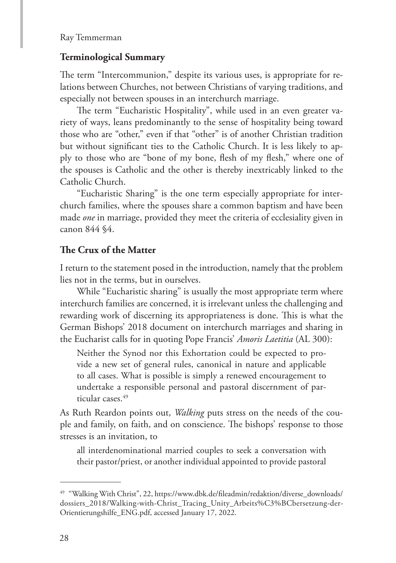### **Terminological Summary**

The term "Intercommunion," despite its various uses, is appropriate for relations between Churches, not between Christians of varying traditions, and especially not between spouses in an interchurch marriage.

The term "Eucharistic Hospitality", while used in an even greater variety of ways, leans predominantly to the sense of hospitality being toward those who are "other," even if that "other" is of another Christian tradition but without significant ties to the Catholic Church. It is less likely to apply to those who are "bone of my bone, flesh of my flesh," where one of the spouses is Catholic and the other is thereby inextricably linked to the Catholic Church.

"Eucharistic Sharing" is the one term especially appropriate for interchurch families, where the spouses share a common baptism and have been made *one* in marriage, provided they meet the criteria of ecclesiality given in canon 844 §4.

### **The Crux of the Matter**

I return to the statement posed in the introduction, namely that the problem lies not in the terms, but in ourselves.

While "Eucharistic sharing" is usually the most appropriate term where interchurch families are concerned, it is irrelevant unless the challenging and rewarding work of discerning its appropriateness is done. This is what the German Bishops' 2018 document on interchurch marriages and sharing in the Eucharist calls for in quoting Pope Francis' *Amoris Laetitia* (AL 300):

Neither the Synod nor this Exhortation could be expected to provide a new set of general rules, canonical in nature and applicable to all cases. What is possible is simply a renewed encouragement to undertake a responsible personal and pastoral discernment of particular cases.<sup>49</sup>

As Ruth Reardon points out, *Walking* puts stress on the needs of the couple and family, on faith, and on conscience. The bishops' response to those stresses is an invitation, to

all interdenominational married couples to seek a conversation with their pastor/priest, or another individual appointed to provide pastoral

<sup>49</sup> "Walking With Christ", 22, https://www.dbk.de/fileadmin/redaktion/diverse\_downloads/ dossiers\_2018/Walking-with-Christ\_Tracing\_Unity\_Arbeits%C3%BCbersetzung-der-Orientierungshilfe\_ENG.pdf, accessed January 17, 2022.